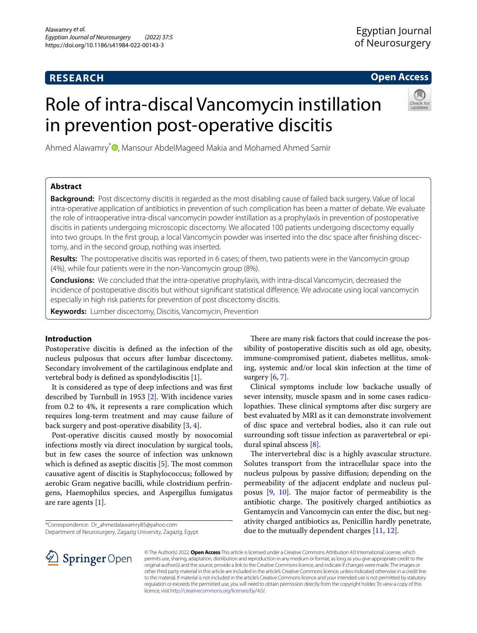# **RESEARCH**

# **Open Access**

# Role of intra-discal Vancomycin instillation in prevention post-operative discitis



Ahmed Alawamry<sup>\*</sup> **D**[,](http://orcid.org/0000-0002-8578-8890) Mansour AbdelMageed Makia and Mohamed Ahmed Samir

# **Abstract**

**Background:** Post discectomy discitis is regarded as the most disabling cause of failed back surgery. Value of local intra-operative application of antibiotics in prevention of such complication has been a matter of debate. We evaluate the role of intraoperative intra-discal vancomycin powder instillation as a prophylaxis in prevention of postoperative discitis in patients undergoing microscopic discectomy. We allocated 100 patients undergoing discectomy equally into two groups. In the frst group, a local Vancomycin powder was inserted into the disc space after fnishing discectomy, and in the second group, nothing was inserted.

**Results:** The postoperative discitis was reported in 6 cases; of them, two patients were in the Vancomycin group (4%), while four patients were in the non-Vancomycin group (8%).

**Conclusions:** We concluded that the intra-operative prophylaxis, with intra-discal Vancomycin, decreased the incidence of postoperative discitis but without signifcant statistical diference. We advocate using local vancomycin especially in high risk patients for prevention of post discectomy discitis.

**Keywords:** Lumber discectomy, Discitis, Vancomycin, Prevention

# **Introduction**

Postoperative discitis is defned as the infection of the nucleus pulposus that occurs after lumbar discectomy. Secondary involvement of the cartilaginous endplate and vertebral body is defned as spondylodiscitis [[1\]](#page-4-0).

It is considered as type of deep infections and was frst described by Turnbull in 1953 [[2](#page-4-1)]. With incidence varies from 0.2 to 4%, it represents a rare complication which requires long-term treatment and may cause failure of back surgery and post-operative disability  $[3, 4]$  $[3, 4]$  $[3, 4]$  $[3, 4]$ .

Post-operative discitis caused mostly by nosocomial infections mostly via direct inoculation by surgical tools, but in few cases the source of infection was unknown which is defined as aseptic discitis  $[5]$  $[5]$ . The most common causative agent of discitis is Staphylococcus; followed by aerobic Gram negative bacilli, while clostridium perfringens, Haemophilus species, and Aspergillus fumigatus are rare agents [[1\]](#page-4-0).

\*Correspondence: Dr\_ahmedalawamry85@yahoo.com

Department of Neurosurgery, Zagazig University, Zagazig, Egypt

There are many risk factors that could increase the possibility of postoperative discitis such as old age, obesity, immune-compromised patient, diabetes mellitus, smoking, systemic and/or local skin infection at the time of surgery  $[6, 7]$  $[6, 7]$  $[6, 7]$  $[6, 7]$ .

Clinical symptoms include low backache usually of sever intensity, muscle spasm and in some cases radiculopathies. These clinical symptoms after disc surgery are best evaluated by MRI as it can demonstrate involvement of disc space and vertebral bodies, also it can rule out surrounding soft tissue infection as paravertebral or epidural spinal abscess [\[8](#page-4-7)].

The intervertebral disc is a highly avascular structure. Solutes transport from the intracellular space into the nucleus pulpous by passive difusion; depending on the permeability of the adjacent endplate and nucleus pulposus  $[9, 10]$  $[9, 10]$  $[9, 10]$ . The major factor of permeability is the antibiotic charge. The positively charged antibiotics as Gentamycin and Vancomycin can enter the disc, but negativity charged antibiotics as, Penicillin hardly penetrate, due to the mutually dependent charges [[11](#page-4-10), [12\]](#page-4-11).



© The Author(s) 2022. **Open Access** This article is licensed under a Creative Commons Attribution 4.0 International License, which permits use, sharing, adaptation, distribution and reproduction in any medium or format, as long as you give appropriate credit to the original author(s) and the source, provide a link to the Creative Commons licence, and indicate if changes were made. The images or other third party material in this article are included in the article's Creative Commons licence, unless indicated otherwise in a credit line to the material. If material is not included in the article's Creative Commons licence and your intended use is not permitted by statutory regulation or exceeds the permitted use, you will need to obtain permission directly from the copyright holder. To view a copy of this licence, visit [http://creativecommons.org/licenses/by/4.0/.](http://creativecommons.org/licenses/by/4.0/)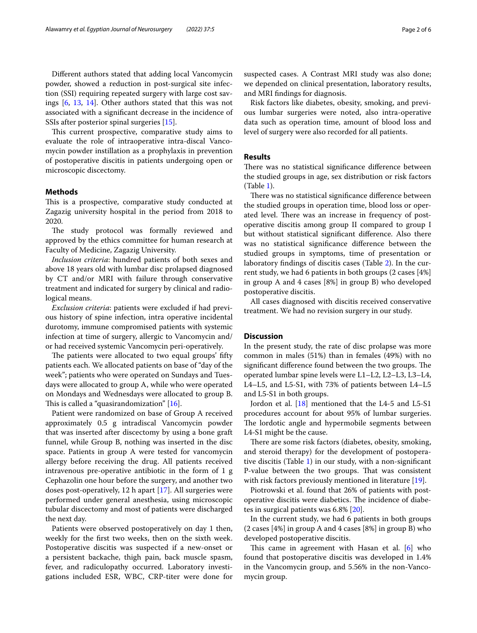Diferent authors stated that adding local Vancomycin powder, showed a reduction in post-surgical site infection (SSI) requiring repeated surgery with large cost savings [\[6](#page-4-5), [13](#page-4-12), [14](#page-4-13)]. Other authors stated that this was not associated with a signifcant decrease in the incidence of SSIs after posterior spinal surgeries [[15\]](#page-4-14).

This current prospective, comparative study aims to evaluate the role of intraoperative intra-discal Vancomycin powder instillation as a prophylaxis in prevention of postoperative discitis in patients undergoing open or microscopic discectomy.

# **Methods**

This is a prospective, comparative study conducted at Zagazig university hospital in the period from 2018 to 2020.

The study protocol was formally reviewed and approved by the ethics committee for human research at Faculty of Medicine, Zagazig University.

*Inclusion criteria*: hundred patients of both sexes and above 18 years old with lumbar disc prolapsed diagnosed by CT and/or MRI with failure through conservative treatment and indicated for surgery by clinical and radiological means.

*Exclusion criteria*: patients were excluded if had previous history of spine infection, intra operative incidental durotomy, immune compromised patients with systemic infection at time of surgery, allergic to Vancomycin and/ or had received systemic Vancomycin peri-operatively.

The patients were allocated to two equal groups' fifty patients each. We allocated patients on base of "day of the week"; patients who were operated on Sundays and Tuesdays were allocated to group A, while who were operated on Mondays and Wednesdays were allocated to group B. This is called a "quasirandomization"  $[16]$  $[16]$ .

Patient were randomized on base of Group A received approximately 0.5 g intradiscal Vancomycin powder that was inserted after discectomy by using a bone graft funnel, while Group B, nothing was inserted in the disc space. Patients in group A were tested for vancomycin allergy before receiving the drug. All patients received intravenous pre-operative antibiotic in the form of 1 g Cephazolin one hour before the surgery, and another two doses post-operatively, 12 h apart [\[17](#page-4-16)]. All surgeries were performed under general anesthesia, using microscopic tubular discectomy and most of patients were discharged the next day.

Patients were observed postoperatively on day 1 then, weekly for the frst two weeks, then on the sixth week. Postoperative discitis was suspected if a new-onset or a persistent backache, thigh pain, back muscle spasm, fever, and radiculopathy occurred. Laboratory investigations included ESR, WBC, CRP-titer were done for suspected cases. A Contrast MRI study was also done; we depended on clinical presentation, laboratory results, and MRI fndings for diagnosis.

Risk factors like diabetes, obesity, smoking, and previous lumbar surgeries were noted, also intra-operative data such as operation time, amount of blood loss and level of surgery were also recorded for all patients.

# **Results**

There was no statistical significance difference between the studied groups in age, sex distribution or risk factors (Table [1\)](#page-2-0).

There was no statistical significance difference between the studied groups in operation time, blood loss or operated level. There was an increase in frequency of postoperative discitis among group II compared to group I but without statistical signifcant diference. Also there was no statistical signifcance diference between the studied groups in symptoms, time of presentation or laboratory fndings of discitis cases (Table [2\)](#page-3-0). In the current study, we had 6 patients in both groups (2 cases [4%] in group A and 4 cases [8%] in group B) who developed postoperative discitis.

All cases diagnosed with discitis received conservative treatment. We had no revision surgery in our study.

## **Discussion**

In the present study, the rate of disc prolapse was more common in males (51%) than in females (49%) with no significant difference found between the two groups. The operated lumbar spine levels were L1–L2, L2–L3, L3–L4, L4–L5, and L5-S1, with 73% of patients between L4–L5 and L5-S1 in both groups.

Jordon et al.  $[18]$  $[18]$  mentioned that the L4-5 and L5-S1 procedures account for about 95% of lumbar surgeries. The lordotic angle and hypermobile segments between L4-S1 might be the cause.

There are some risk factors (diabetes, obesity, smoking, and steroid therapy) for the development of postoperative discitis (Table [1](#page-2-0)) in our study, with a non-signifcant P-value between the two groups. That was consistent with risk factors previously mentioned in literature [[19](#page-4-18)].

Piotrowski et al. found that 26% of patients with postoperative discitis were diabetics. The incidence of diabetes in surgical patients was 6.8% [[20\]](#page-4-19).

In the current study, we had 6 patients in both groups (2 cases [4%] in group A and 4 cases [8%] in group B) who developed postoperative discitis.

This came in agreement with Hasan et al.  $[6]$  $[6]$  who found that postoperative discitis was developed in 1.4% in the Vancomycin group, and 5.56% in the non-Vancomycin group.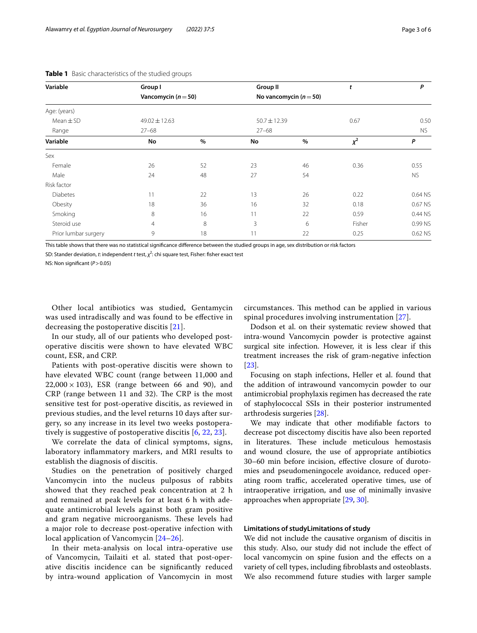| Variable             | Group I                 |      | <b>Group II</b>            |      | t      | P         |
|----------------------|-------------------------|------|----------------------------|------|--------|-----------|
|                      | Vancomycin ( $n = 50$ ) |      | No vancomycin ( $n = 50$ ) |      |        |           |
| Age: (years)         |                         |      |                            |      |        |           |
| $Mean \pm SD$        | $49.02 \pm 12.63$       |      | $50.7 \pm 12.39$           |      | 0.67   | 0.50      |
| Range                | $27 - 68$               |      | $27 - 68$                  |      |        | NS.       |
| Variable             | No                      | $\%$ | No                         | $\%$ | $x^2$  | P         |
| Sex                  |                         |      |                            |      |        |           |
| Female               | 26                      | 52   | 23                         | 46   | 0.36   | 0.55      |
| Male                 | 24                      | 48   | 27                         | 54   |        | <b>NS</b> |
| Risk factor          |                         |      |                            |      |        |           |
| <b>Diabetes</b>      | 11                      | 22   | 13                         | 26   | 0.22   | 0.64 NS   |
| Obesity              | 18                      | 36   | 16                         | 32   | 0.18   | 0.67 NS   |
| Smoking              | 8                       | 16   | 11                         | 22   | 0.59   | 0.44 NS   |
| Steroid use          | 4                       | 8    | $\overline{3}$             | 6    | Fisher | 0.99 NS   |
| Prior lumbar surgery | 9                       | 18   | 11                         | 22   | 0.25   | 0.62 NS   |

<span id="page-2-0"></span>**Table 1** Basic characteristics of the studied groups

This table shows that there was no statistical signifcance diference between the studied groups in age, sex distribution or risk factors

SD: Stander deviation, *t*: independent *t* test, χ<sup>2</sup>: chi square test, Fisher: fisher exact test

NS: Non signifcant (*P*>0.05)

Other local antibiotics was studied, Gentamycin was used intradiscally and was found to be efective in decreasing the postoperative discitis [[21\]](#page-4-20).

In our study, all of our patients who developed postoperative discitis were shown to have elevated WBC count, ESR, and CRP.

Patients with post-operative discitis were shown to have elevated WBC count (range between 11,000 and  $22,000 \times 103$ ), ESR (range between 66 and 90), and  $CRP$  (range between 11 and 32). The  $CRP$  is the most sensitive test for post-operative discitis, as reviewed in previous studies, and the level returns 10 days after surgery, so any increase in its level two weeks postoperatively is suggestive of postoperative discitis [[6,](#page-4-5) [22,](#page-4-21) [23\]](#page-4-22).

We correlate the data of clinical symptoms, signs, laboratory infammatory markers, and MRI results to establish the diagnosis of discitis.

Studies on the penetration of positively charged Vancomycin into the nucleus pulposus of rabbits showed that they reached peak concentration at 2 h and remained at peak levels for at least 6 h with adequate antimicrobial levels against both gram positive and gram negative microorganisms. These levels had a major role to decrease post-operative infection with local application of Vancomycin [\[24](#page-4-23)[–26\]](#page-4-24).

In their meta-analysis on local intra-operative use of Vancomycin, Tailaiti et al. stated that post-operative discitis incidence can be signifcantly reduced by intra-wound application of Vancomycin in most

circumstances. This method can be applied in various spinal procedures involving instrumentation [[27\]](#page-4-25).

Dodson et al. on their systematic review showed that intra-wound Vancomycin powder is protective against surgical site infection. However, it is less clear if this treatment increases the risk of gram-negative infection [[23\]](#page-4-22).

Focusing on staph infections, Heller et al. found that the addition of intrawound vancomycin powder to our antimicrobial prophylaxis regimen has decreased the rate of staphylococcal SSIs in their posterior instrumented arthrodesis surgeries [\[28](#page-4-26)].

We may indicate that other modifable factors to decrease pot discectomy discitis have also been reported in literatures. These include meticulous hemostasis and wound closure, the use of appropriate antibiotics 30–60 min before incision, efective closure of durotomies and pseudomeningocele avoidance, reduced operating room traffic, accelerated operative times, use of intraoperative irrigation, and use of minimally invasive approaches when appropriate [\[29,](#page-4-27) [30](#page-5-0)].

## **Limitations of studyLimitations of study**

We did not include the causative organism of discitis in this study. Also, our study did not include the efect of local vancomycin on spine fusion and the efects on a variety of cell types, including fbroblasts and osteoblasts. We also recommend future studies with larger sample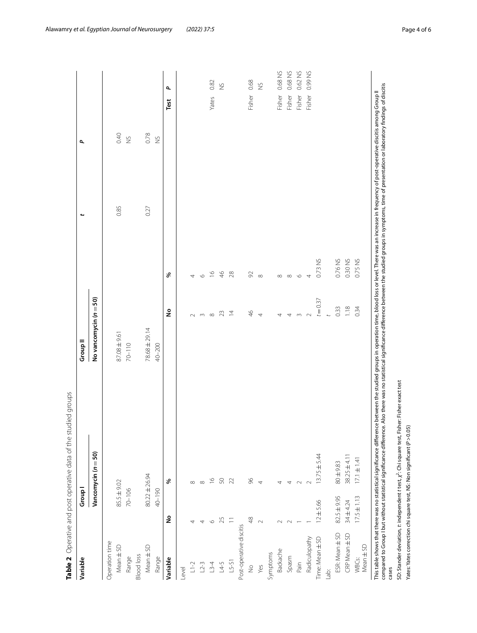<span id="page-3-0"></span>

| Variable                | Group I                       |                                                                                                                                                                                                                                                                                                                                                                                                                                                                                                                                                      | Groupll                | یو                    | $\mathbf{r}$ |              |                |
|-------------------------|-------------------------------|------------------------------------------------------------------------------------------------------------------------------------------------------------------------------------------------------------------------------------------------------------------------------------------------------------------------------------------------------------------------------------------------------------------------------------------------------------------------------------------------------------------------------------------------------|------------------------|-----------------------|--------------|--------------|----------------|
|                         |                               | Vancomycin $(n=50)$                                                                                                                                                                                                                                                                                                                                                                                                                                                                                                                                  | No vancomycin (n = 50) |                       |              |              |                |
| Operation time          |                               |                                                                                                                                                                                                                                                                                                                                                                                                                                                                                                                                                      |                        |                       |              |              |                |
| Mean ±SD                | $85.5 \pm 9.02$               |                                                                                                                                                                                                                                                                                                                                                                                                                                                                                                                                                      | 87.08±9.61             |                       | 0.85         | 0.40         |                |
| Range                   | $70 - 106$                    |                                                                                                                                                                                                                                                                                                                                                                                                                                                                                                                                                      | $70 - 110$             |                       |              | $\gtrapprox$ |                |
| <b>Blood loss</b>       |                               |                                                                                                                                                                                                                                                                                                                                                                                                                                                                                                                                                      |                        |                       |              |              |                |
| Mean ±SD                |                               | $80.22 \pm 26.94$                                                                                                                                                                                                                                                                                                                                                                                                                                                                                                                                    | 78.68 ± 29.14          |                       | 0.27         | 0.78         |                |
| Range                   | $40 - 190$                    |                                                                                                                                                                                                                                                                                                                                                                                                                                                                                                                                                      | 40-200                 |                       |              | $\gtrapprox$ |                |
| Variable                | ş                             | %                                                                                                                                                                                                                                                                                                                                                                                                                                                                                                                                                    | ş                      | శ                     |              | Test         | σ              |
| Level                   |                               |                                                                                                                                                                                                                                                                                                                                                                                                                                                                                                                                                      |                        |                       |              |              |                |
| $L1-2$                  | 4                             | ${}^{\infty}$                                                                                                                                                                                                                                                                                                                                                                                                                                                                                                                                        | $\sim$                 | 4                     |              |              |                |
| $L2-3$                  | 4                             | $\infty$                                                                                                                                                                                                                                                                                                                                                                                                                                                                                                                                             | $\sim$                 | $\circ$               |              |              |                |
| $L_{3-4}$               | $\circ$                       | $\frac{\circ}{\circ}$                                                                                                                                                                                                                                                                                                                                                                                                                                                                                                                                | $\infty$               | $\frac{\circ}{\circ}$ |              | Yates        | 0.82           |
| $14-5$                  | 25                            | $\mathbb{S}^{\mathbb{O}}$                                                                                                                                                                                                                                                                                                                                                                                                                                                                                                                            | 23                     | $46$                  |              |              | $\gtrapprox$   |
| $L5-51$                 | $\overleftarrow{\phantom{1}}$ | 22                                                                                                                                                                                                                                                                                                                                                                                                                                                                                                                                                   | $\overline{4}$         | 28                    |              |              |                |
| Post-operative discitis |                               |                                                                                                                                                                                                                                                                                                                                                                                                                                                                                                                                                      |                        |                       |              |              |                |
| $\frac{\circ}{\sim}$    | 48                            | 86                                                                                                                                                                                                                                                                                                                                                                                                                                                                                                                                                   | $\frac{4}{6}$          | 92                    |              | Fisher       | 0.68           |
| Yes                     | $\sim$                        | $\overline{4}$                                                                                                                                                                                                                                                                                                                                                                                                                                                                                                                                       | 4                      | $\infty$              |              |              | $\gtrapprox$   |
| Symptoms                |                               |                                                                                                                                                                                                                                                                                                                                                                                                                                                                                                                                                      |                        |                       |              |              |                |
| Backache                | $\sim$                        | 4                                                                                                                                                                                                                                                                                                                                                                                                                                                                                                                                                    | 4                      | $\infty$              |              | Fisher       | 0.68 NS        |
| Spasm                   | $\sim$                        | 4                                                                                                                                                                                                                                                                                                                                                                                                                                                                                                                                                    | 4                      | $\infty$              |              | Fisher       | 0.68 NS        |
| Pain                    |                               | $\sim$                                                                                                                                                                                                                                                                                                                                                                                                                                                                                                                                               | $\sim$                 | $\circ$               |              | Fisher       | 0.62 NS        |
| Radiculopathy           |                               | $\sim$                                                                                                                                                                                                                                                                                                                                                                                                                                                                                                                                               | $\sim$                 | 4                     |              | Fisher       | <b>SN 66'0</b> |
| Time: Mean ± SD         | ±5.66<br>$\overline{C}$       | $13.75 \pm 5.44$                                                                                                                                                                                                                                                                                                                                                                                                                                                                                                                                     | $t = 0.37$             | 0.73 NS               |              |              |                |
| ida<br>Lai              |                               |                                                                                                                                                                                                                                                                                                                                                                                                                                                                                                                                                      |                        |                       |              |              |                |
| ESR: Mean ±SD           | 82.5 ± 9.95                   | $80 \pm 9.83$                                                                                                                                                                                                                                                                                                                                                                                                                                                                                                                                        | 0.33                   | 0.76 NS               |              |              |                |
| CRP Mean ±SD            | 34土4.24                       | $38.25 \pm 4.1$                                                                                                                                                                                                                                                                                                                                                                                                                                                                                                                                      | 1.18                   | 0.30 NS               |              |              |                |
| $Mean \pm SD$<br>WBCs:  | $17.5 \pm 1.13$               | $17.1 \pm 1.41$                                                                                                                                                                                                                                                                                                                                                                                                                                                                                                                                      | 0.34                   | 0.75 NS               |              |              |                |
| cases                   |                               | compared to Group I but without statistical significance difference. Also there was no statistical significance difference between the studied groups in symptoms, time of presentation or laboratory findings of discitis<br>This table shows that there was no statistical significance difference between the studied groups in operation time, blood loss or level. There was an increase in frequency of post-operative discitis among Group II<br>SD: Stander deviation, t: independent t test, x2: Chi square test, Fisher: Fisher exact test |                        |                       |              |              |                |
|                         |                               | Yates: Yates correction chi square test, NS: Non significant (P > 0.05)                                                                                                                                                                                                                                                                                                                                                                                                                                                                              |                        |                       |              |              |                |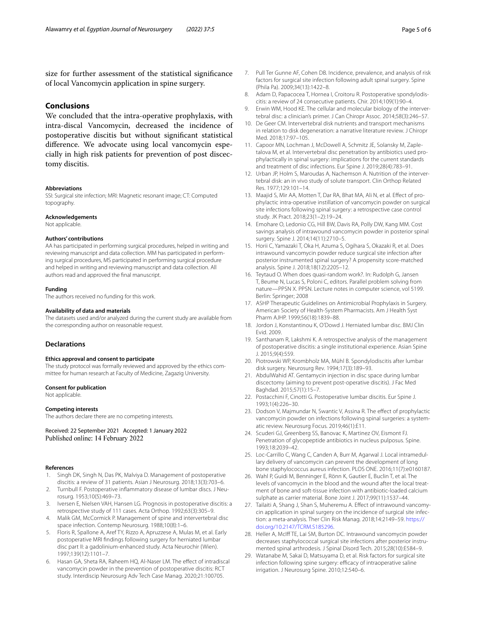size for further assessment of the statistical signifcance of local Vancomycin application in spine surgery.

# **Conclusions**

We concluded that the intra-operative prophylaxis, with intra-discal Vancomycin, decreased the incidence of postoperative discitis but without signifcant statistical diference. We advocate using local vancomycin especially in high risk patients for prevention of post discectomy discitis.

#### **Abbreviations**

SSI: Surgical site infection; MRI: Magnetic resonant image; CT: Computed topography.

## **Acknowledgements**

Not applicable.

#### **Authors' contributions**

AA has participated in performing surgical procedures, helped in writing and reviewing manuscript and data collection. MM has participated in performing surgical procedures, MS participated in performing surgical procedure and helped in writing and reviewing manuscript and data collection. All authors read and approved the fnal manuscript.

#### **Funding**

The authors received no funding for this work.

#### **Availability of data and materials**

The datasets used and/or analyzed during the current study are available from the corresponding author on reasonable request.

## **Declarations**

#### **Ethics approval and consent to participate**

The study protocol was formally reviewed and approved by the ethics committee for human research at Faculty of Medicine, Zagazig University.

#### **Consent for publication**

Not applicable.

#### **Competing interests**

The authors declare there are no competing interests.

Received: 22 September 2021 Accepted: 1 January 2022 Published online: 14 February 2022

#### **References**

- <span id="page-4-0"></span>1. Singh DK, Singh N, Das PK, Malviya D. Management of postoperative discitis: a review of 31 patients. Asian J Neurosurg. 2018;13(3):703–6.
- <span id="page-4-1"></span>2. Turnbull F. Postoperative infammatory disease of lumbar discs. J Neurosurg. 1953;10(5):469–73.
- <span id="page-4-2"></span>3. Iversen E, Nielsen VAH, Hansen LG. Prognosis in postoperative discitis: a retrospective study of 111 cases. Acta Orthop. 1992;63(3):305–9.
- <span id="page-4-3"></span>4. Malik GM, McCormick P. Management of spine and intervertebral disc space infection. Contemp Neurosurg. 1988;10(8):1–6.
- <span id="page-4-4"></span>5. Floris R, Spallone A, Aref TY, Rizzo A, Apruzzese A, Mulas M, et al. Early postoperative MRI fndings following surgery for herniated lumbar disc part II: a gadolinium-enhanced study. Acta Neurochir (Wien). 1997;139(12):1101–7.
- <span id="page-4-5"></span>6. Hasan GA, Sheta RA, Raheem HQ, Al-Naser LM. The efect of intradiscal vancomycin powder in the prevention of postoperative discitis: RCT study. Interdiscip Neurosurg Adv Tech Case Manag. 2020;21:100705.
- <span id="page-4-6"></span>7. Pull Ter Gunne AF, Cohen DB. Incidence, prevalence, and analysis of risk factors for surgical site infection following adult spinal surgery. Spine (Phila Pa). 2009;34(13):1422–8.
- <span id="page-4-7"></span>8. Adam D, Papacocea T, Hornea I, Croitoru R. Postoperative spondylodiscitis: a review of 24 consecutive patients. Chir. 2014;109(1):90–4.
- <span id="page-4-8"></span>9. Erwin WM, Hood KE. The cellular and molecular biology of the intervertebral disc: a clinician's primer. J Can Chiropr Assoc. 2014;58(3):246–57.
- <span id="page-4-9"></span>10. De Geer CM. Intervertebral disk nutrients and transport mechanisms in relation to disk degeneration: a narrative literature review. J Chiropr Med. 2018;17:97–105.
- <span id="page-4-10"></span>11. Capoor MN, Lochman J, McDowell A, Schmitz JE, Solansky M, Zapletalova M, et al. Intervertebral disc penetration by antibiotics used prophylactically in spinal surgery: implications for the current standards and treatment of disc infections. Eur Spine J. 2019;28(4):783–91.
- <span id="page-4-11"></span>12. Urban JP, Holm S, Maroudas A, Nachemson A. Nutrition of the intervertebral disk: an in vivo study of solute transport. Clin Orthop Related Res. 1977;129:101–14.
- <span id="page-4-12"></span>13. Maajid S, Mir AA, Motten T, Dar RA, Bhat MA, Ali N, et al. Efect of prophylactic intra-operative instillation of vancomycin powder on surgical site infections following spinal surgery: a retrospective case control study. JK Pract. 2018;23(1–2):19–24.
- <span id="page-4-13"></span>14. Emohare O, Ledonio CG, Hill BW, Davis RA, Polly DW, Kang MM. Cost savings analysis of intrawound vancomycin powder in posterior spinal surgery. Spine J. 2014;14(11):2710–5.
- <span id="page-4-14"></span>15. Horii C, Yamazaki T, Oka H, Azuma S, Ogihara S, Okazaki R, et al. Does intrawound vancomycin powder reduce surgical site infection after posterior instrumented spinal surgery? A propensity score-matched analysis. Spine J. 2018;18(12):2205–12.
- <span id="page-4-15"></span>16. Teytaud O. When does quasi-random work?. In: Rudolph G, Jansen T, Beume N, Lucas S, Poloni C, editors. Parallel problem solving from nature—PPSN X. PPSN. Lecture notes in computer science, vol 5199. Berlin: Springer; 2008
- <span id="page-4-16"></span>17. ASHP Therapeutic Guidelines on Antimicrobial Prophylaxis in Surgery. American Society of Health-System Pharmacists. Am J Health Syst Pharm AJHP. 1999;56(18):1839–88.
- <span id="page-4-17"></span>18. Jordon J, Konstantinou K, O'Dowd J. Herniated lumbar disc. BMJ Clin Evid. 2009.
- <span id="page-4-18"></span>19. Santhanam R, Lakshmi K. A retrospective analysis of the management of postoperative discitis: a single institutional experience. Asian Spine J. 2015;9(4):559.
- <span id="page-4-19"></span>20. Piotrowski WP, Krombholz MA, Mühl B. Spondylodiscitis after lumbar disk surgery. Neurosurg Rev. 1994;17(3):189–93.
- <span id="page-4-20"></span>21. AbdulWahid AT. Gentamycin injection in disc space during lumbar discectomy (aiming to prevent post-operative discitis). J Fac Med Baghdad. 2015;57(1):15–7.
- <span id="page-4-21"></span>22. Postacchini F, Cinotti G. Postoperative lumbar discitis. Eur Spine J. 1993;1(4):226–30.
- <span id="page-4-22"></span>23. Dodson V, Majmundar N, Swantic V, Assina R. The effect of prophylactic vancomycin powder on infections following spinal surgeries: a systematic review. Neurosurg Focus. 2019;46(1):E11.
- <span id="page-4-23"></span>24. Scuderi GJ, Greenberg SS, Banovac K, Martinez OV, Eismont FJ. Penetration of glycopeptide antibiotics in nucleus pulposus. Spine. 1993;18:2039–42.
- 25. Loc-Carrillo C, Wang C, Canden A, Burr M, Agarwal J. Local intramedullary delivery of vancomycin can prevent the development of long bone staphylococcus aureus infection. PLOS ONE. 2016;11(7):e0160187.
- <span id="page-4-24"></span>26. Wahl P, Guidi M, Benninger E, Rönn K, Gautier E, Buclin T, et al. The levels of vancomycin in the blood and the wound after the local treatment of bone and soft-tissue infection with antibiotic-loaded calcium sulphate as carrier material. Bone Joint J. 2017;99(11):1537–44.
- <span id="page-4-25"></span>27. Tailaiti A, Shang J, Shan S, Muheremu A. Effect of intrawound vancomycin application in spinal surgery on the incidence of surgical site infection: a meta-analysis. Ther Clin Risk Manag. 2018;14:2149–59. [https://](https://doi.org/10.2147/TCRM.S185296) [doi.org/10.2147/TCRM.S185296](https://doi.org/10.2147/TCRM.S185296).
- <span id="page-4-26"></span>28. Heller A, McIff TE, Lai SM, Burton DC. Intrawound vancomycin powder decreases staphylococcal surgical site infections after posterior instrumented spinal arthrodesis. J Spinal Disord Tech. 2015;28(10):E584–9.
- <span id="page-4-27"></span>29. Watanabe M, Sakai D, Matsuyama D, et al. Risk factors for surgical site infection following spine surgery: efficacy of intraoperative saline irrigation. J Neurosurg Spine. 2010;12:540–6.